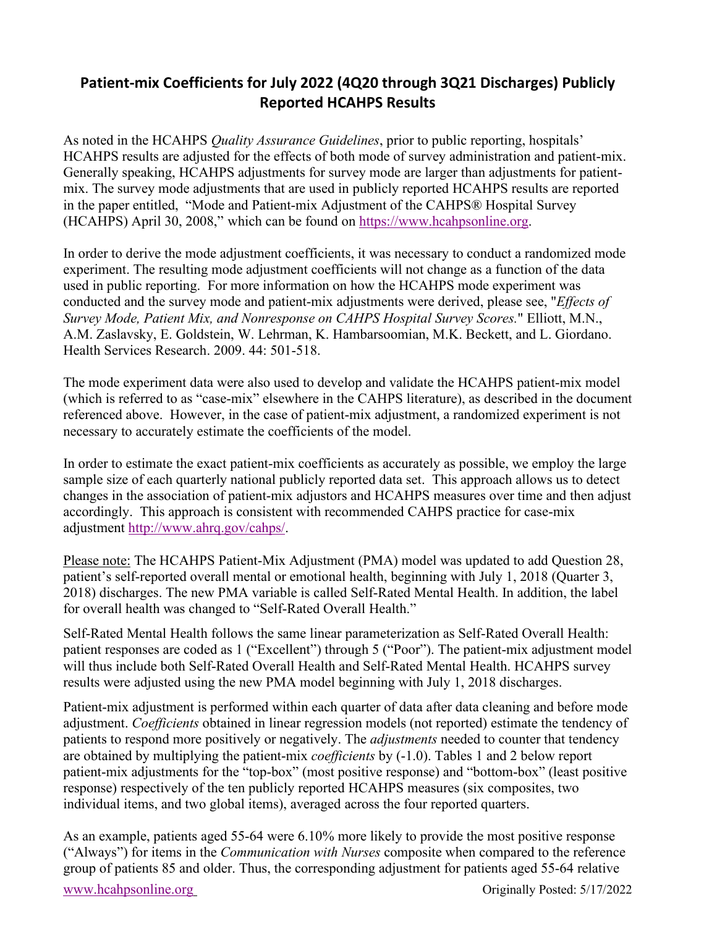## **Patient-mix Coefficients for July 2022 (4Q20 through 3Q21 Discharges) Publicly Reported HCAHPS Results**

As noted in the HCAHPS *Quality Assurance Guidelines*, prior to public reporting, hospitals' HCAHPS results are adjusted for the effects of both mode of survey administration and patient-mix. Generally speaking, HCAHPS adjustments for survey mode are larger than adjustments for patientmix. The survey mode adjustments that are used in publicly reported HCAHPS results are reported in the paper entitled, ["Mode and Patient-mix Adjustment of the CAHPS® Hospital Survey](http://www.hcahpsonline.org/Files/Final%20Draft%20Description%20of%20HCAHPS%20Mode%20and%20PMA%20with%20QA_122007.pdf)  [\(HCAHPS\) April 30, 2008,"](http://www.hcahpsonline.org/Files/Final%20Draft%20Description%20of%20HCAHPS%20Mode%20and%20PMA%20with%20QA_122007.pdf) which can be found on [https://www.hcahpsonline.org.](https://www.hcahpsonline.org/)

In order to derive the mode adjustment coefficients, it was necessary to conduct a randomized mode experiment. The resulting mode adjustment coefficients will not change as a function of the data used in public reporting. For more information on how the HCAHPS mode experiment was conducted and the survey mode and patient-mix adjustments were derived, please see, "*Effects of Survey Mode, Patient Mix, and Nonresponse on CAHPS Hospital Survey Scores.*" Elliott, M.N., A.M. Zaslavsky, E. Goldstein, W. Lehrman, K. Hambarsoomian, M.K. Beckett, and L. Giordano. Health Services Research. 2009. 44: 501-518.

The mode experiment data were also used to develop and validate the HCAHPS patient-mix model (which is referred to as "case-mix" elsewhere in the CAHPS literature), as described in the document referenced above. However, in the case of patient-mix adjustment, a randomized experiment is not necessary to accurately estimate the coefficients of the model.

In order to estimate the exact patient-mix coefficients as accurately as possible, we employ the large sample size of each quarterly national publicly reported data set. This approach allows us to detect changes in the association of patient-mix adjustors and HCAHPS measures over time and then adjust accordingly. This approach is consistent with recommended CAHPS practice for case-mix adjustment [http://www.ahrq.gov/cahps/.](http://www.ahrq.gov/cahps/)

Please note: The HCAHPS Patient-Mix Adjustment (PMA) model was updated to add Question 28, patient's self-reported overall mental or emotional health, beginning with July 1, 2018 (Quarter 3, 2018) discharges. The new PMA variable is called Self-Rated Mental Health. In addition, the label for overall health was changed to "Self-Rated Overall Health."

Self-Rated Mental Health follows the same linear parameterization as Self-Rated Overall Health: patient responses are coded as 1 ("Excellent") through 5 ("Poor"). The patient-mix adjustment model will thus include both Self-Rated Overall Health and Self-Rated Mental Health. HCAHPS survey results were adjusted using the new PMA model beginning with July 1, 2018 discharges.

Patient-mix adjustment is performed within each quarter of data after data cleaning and before mode adjustment. *Coefficients* obtained in linear regression models (not reported) estimate the tendency of patients to respond more positively or negatively. The *adjustments* needed to counter that tendency are obtained by multiplying the patient-mix *coefficients* by (-1.0). Tables 1 and 2 below report patient-mix adjustments for the "top-box" (most positive response) and "bottom-box" (least positive response) respectively of the ten publicly reported HCAHPS measures (six composites, two individual items, and two global items), averaged across the four reported quarters.

As an example, patients aged 55-64 were 6.10% more likely to provide the most positive response ("Always") for items in the *Communication with Nurses* composite when compared to the reference group of patients 85 and older. Thus, the corresponding adjustment for patients aged 55-64 relative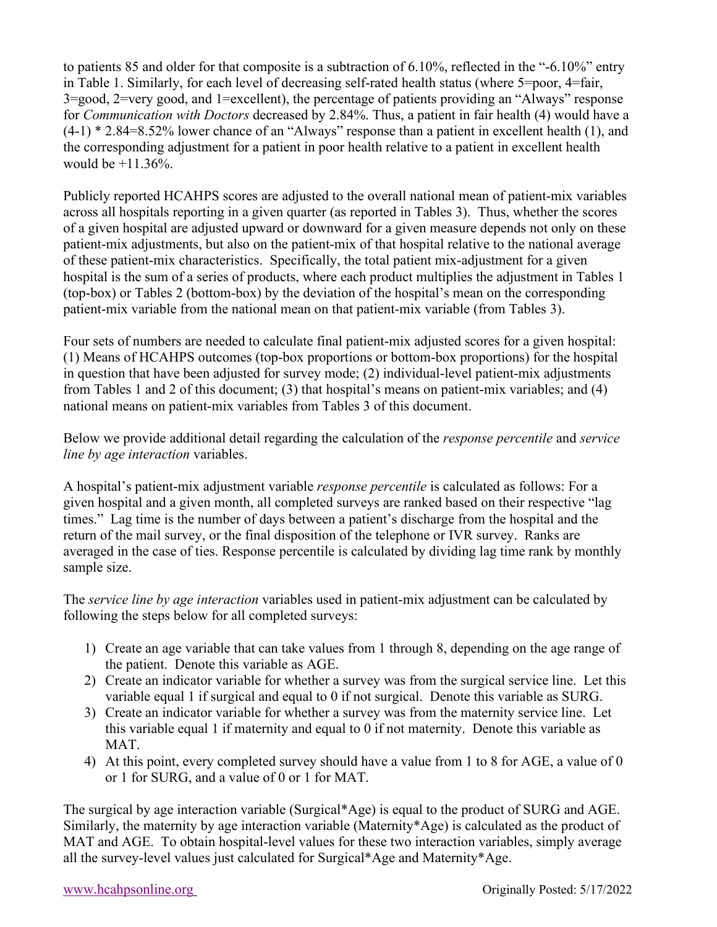to patients 85 and older for that composite is a subtraction of 6.10%, reflected in the "-6.10%" entry in Table 1. Similarly, for each level of decreasing self-rated health status (where 5=poor, 4=fair, 3=good, 2=very good, and 1=excellent), the percentage of patients providing an "Always" response for *Communication with Doctors* decreased by 2.84%. Thus, a patient in fair health (4) would have a  $(4-1)$  \* 2.84=8.52% lower chance of an "Always" response than a patient in excellent health (1), and the corresponding adjustment for a patient in poor health relative to a patient in excellent health would be  $+11.36%$ .

Publicly reported HCAHPS scores are adjusted to the overall national mean of patient-mix variables across all hospitals reporting in a given quarter (as reported in Tables 3). Thus, whether the scores of a given hospital are adjusted upward or downward for a given measure depends not only on these patient-mix adjustments, but also on the patient-mix of that hospital relative to the national average of these patient-mix characteristics. Specifically, the total patient mix-adjustment for a given hospital is the sum of a series of products, where each product multiplies the adjustment in Tables 1 (top-box) or Tables 2 (bottom-box) by the deviation of the hospital's mean on the corresponding patient-mix variable from the national mean on that patient-mix variable (from Tables 3).

Four sets of numbers are needed to calculate final patient-mix adjusted scores for a given hospital: (1) Means of HCAHPS outcomes (top-box proportions or bottom-box proportions) for the hospital in question that have been adjusted for survey mode; (2) individual-level patient-mix adjustments from Tables 1 and 2 of this document; (3) that hospital's means on patient-mix variables; and (4) national means on patient-mix variables from Tables 3 of this document.

Below we provide additional detail regarding the calculation of the *response percentile* and *service line by age interaction* variables.

A hospital's patient-mix adjustment variable *response percentile* is calculated as follows: For a given hospital and a given month, all completed surveys are ranked based on their respective "lag times." Lag time is the number of days between a patient's discharge from the hospital and the return of the mail survey, or the final disposition of the telephone or IVR survey. Ranks are averaged in the case of ties. Response percentile is calculated by dividing lag time rank by monthly sample size.

The *service line by age interaction* variables used in patient-mix adjustment can be calculated by following the steps below for all completed surveys:

- 1) Create an age variable that can take values from 1 through 8, depending on the age range of the patient. Denote this variable as AGE.
- 2) Create an indicator variable for whether a survey was from the surgical service line. Let this variable equal 1 if surgical and equal to 0 if not surgical. Denote this variable as SURG.
- 3) Create an indicator variable for whether a survey was from the maternity service line. Let this variable equal 1 if maternity and equal to 0 if not maternity. Denote this variable as MAT.
- 4) At this point, every completed survey should have a value from 1 to 8 for AGE, a value of 0 or 1 for SURG, and a value of 0 or 1 for MAT.

The surgical by age interaction variable (Surgical\*Age) is equal to the product of SURG and AGE. Similarly, the maternity by age interaction variable (Maternity\*Age) is calculated as the product of MAT and AGE. To obtain hospital-level values for these two interaction variables, simply average all the survey-level values just calculated for Surgical\*Age and Maternity\*Age.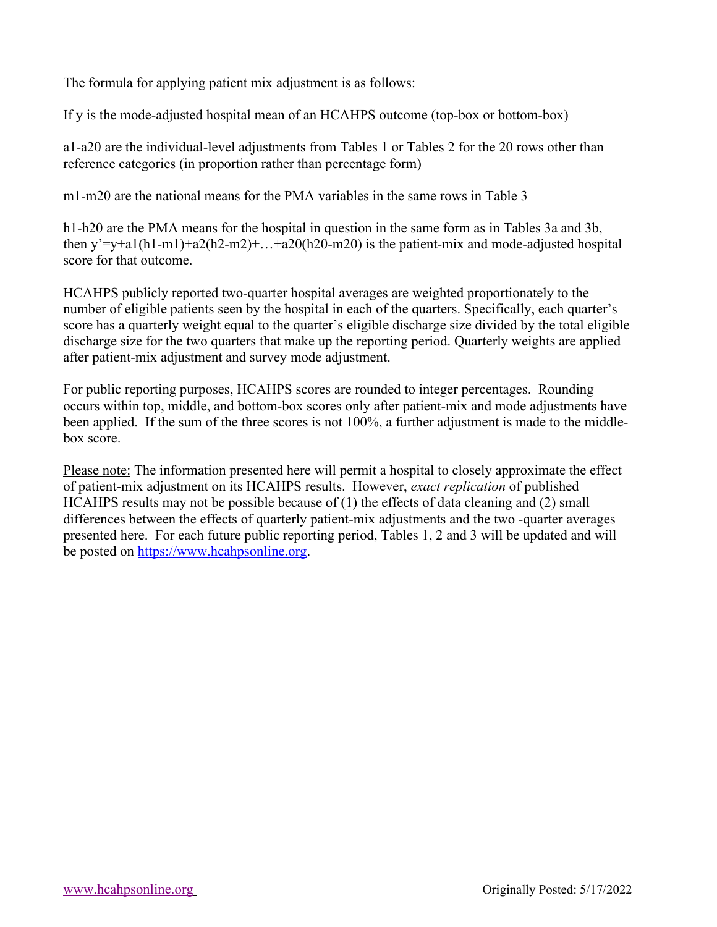The formula for applying patient mix adjustment is as follows:

If y is the mode-adjusted hospital mean of an HCAHPS outcome (top-box or bottom-box)

a1-a20 are the individual-level adjustments from Tables 1 or Tables 2 for the 20 rows other than reference categories (in proportion rather than percentage form)

m1-m20 are the national means for the PMA variables in the same rows in Table 3

h1-h20 are the PMA means for the hospital in question in the same form as in Tables 3a and 3b, then  $y'=y+a1(h1-m1)+a2(h2-m2)+...+a20(h20-m20)$  is the patient-mix and mode-adjusted hospital score for that outcome.

HCAHPS publicly reported two-quarter hospital averages are weighted proportionately to the number of eligible patients seen by the hospital in each of the quarters. Specifically, each quarter's score has a quarterly weight equal to the quarter's eligible discharge size divided by the total eligible discharge size for the two quarters that make up the reporting period. Quarterly weights are applied after patient-mix adjustment and survey mode adjustment.

For public reporting purposes, HCAHPS scores are rounded to integer percentages. Rounding occurs within top, middle, and bottom-box scores only after patient-mix and mode adjustments have been applied. If the sum of the three scores is not 100%, a further adjustment is made to the middlebox score.

Please note: The information presented here will permit a hospital to closely approximate the effect of patient-mix adjustment on its HCAHPS results. However, *exact replication* of published HCAHPS results may not be possible because of (1) the effects of data cleaning and (2) small differences between the effects of quarterly patient-mix adjustments and the two -quarter averages presented here. For each future public reporting period, Tables 1, 2 and 3 will be updated and will be posted on [https://www.hcahpsonline.org.](http://www.hcahpsonline.org/home.aspx)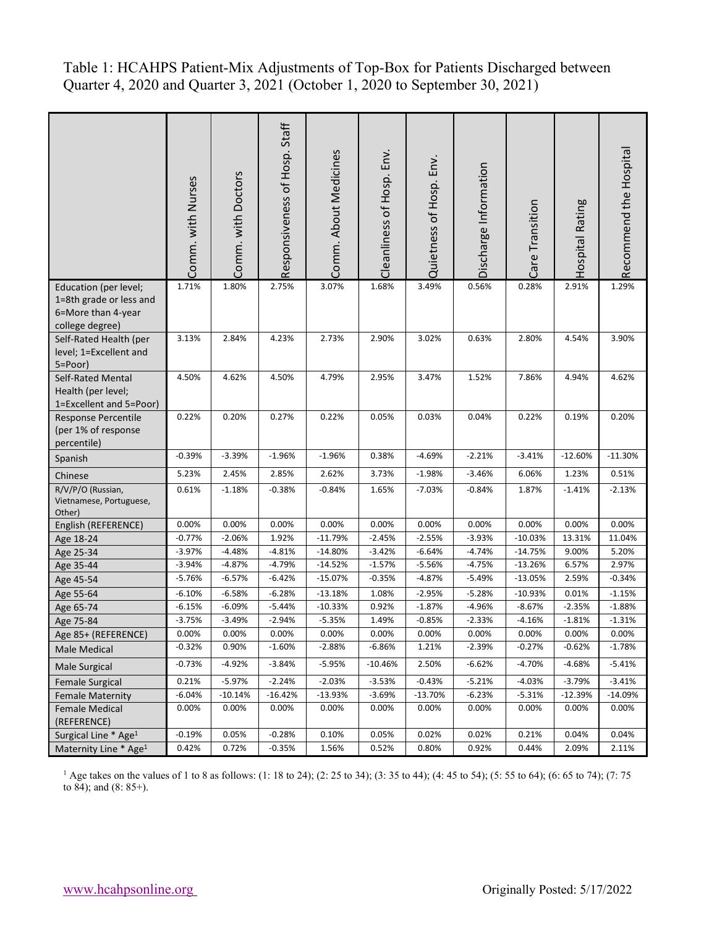Table 1: HCAHPS Patient-Mix Adjustments of Top-Box for Patients Discharged between Quarter 4, 2020 and Quarter 3, 2021 (October 1, 2020 to September 30, 2021)

|                                                                                           | Comm. with Nurses | Comm. with Doctors | Staff<br>Responsiveness of Hosp. | Comm. About Medicines | Cleanliness of Hosp. Env. | Quietness of Hosp. Env. | Discharge Information | Care Transition | Hospital Rating | Recommend the Hospital |
|-------------------------------------------------------------------------------------------|-------------------|--------------------|----------------------------------|-----------------------|---------------------------|-------------------------|-----------------------|-----------------|-----------------|------------------------|
| Education (per level;<br>1=8th grade or less and<br>6=More than 4-year<br>college degree) | 1.71%             | 1.80%              | 2.75%                            | 3.07%                 | 1.68%                     | 3.49%                   | 0.56%                 | 0.28%           | 2.91%           | 1.29%                  |
| Self-Rated Health (per<br>level; 1=Excellent and<br>5=Poor)                               | 3.13%             | 2.84%              | 4.23%                            | 2.73%                 | 2.90%                     | 3.02%                   | 0.63%                 | 2.80%           | 4.54%           | 3.90%                  |
| Self-Rated Mental<br>Health (per level;<br>1=Excellent and 5=Poor)                        | 4.50%             | 4.62%              | 4.50%                            | 4.79%                 | 2.95%                     | 3.47%                   | 1.52%                 | 7.86%           | 4.94%           | 4.62%                  |
| Response Percentile<br>(per 1% of response<br>percentile)                                 | 0.22%             | 0.20%              | 0.27%                            | 0.22%                 | 0.05%                     | 0.03%                   | 0.04%                 | 0.22%           | 0.19%           | 0.20%                  |
| Spanish                                                                                   | $-0.39%$          | $-3.39%$           | $-1.96%$                         | $-1.96%$              | 0.38%                     | $-4.69%$                | $-2.21%$              | $-3.41%$        | $-12.60%$       | $-11.30%$              |
| Chinese                                                                                   | 5.23%             | 2.45%              | 2.85%                            | 2.62%                 | 3.73%                     | $-1.98%$                | $-3.46%$              | 6.06%           | 1.23%           | 0.51%                  |
| R/V/P/O (Russian,<br>Vietnamese, Portuguese,<br>Other)                                    | 0.61%             | $-1.18%$           | $-0.38%$                         | $-0.84%$              | 1.65%                     | $-7.03%$                | $-0.84%$              | 1.87%           | $-1.41%$        | $-2.13%$               |
| English (REFERENCE)                                                                       | 0.00%             | 0.00%              | 0.00%                            | 0.00%                 | 0.00%                     | 0.00%                   | 0.00%                 | 0.00%           | 0.00%           | 0.00%                  |
| Age 18-24                                                                                 | $-0.77%$          | $-2.06%$           | 1.92%                            | $-11.79%$             | $-2.45%$                  | $-2.55%$                | $-3.93%$              | $-10.03%$       | 13.31%          | 11.04%                 |
| Age 25-34                                                                                 | $-3.97%$          | $-4.48%$           | $-4.81%$                         | $-14.80%$             | $-3.42%$                  | $-6.64%$                | $-4.74%$              | $-14.75%$       | 9.00%           | 5.20%                  |
| Age 35-44                                                                                 | $-3.94%$          | $-4.87%$           | $-4.79%$                         | $-14.52%$             | $-1.57%$                  | $-5.56%$                | $-4.75%$              | $-13.26%$       | 6.57%           | 2.97%                  |
| Age 45-54                                                                                 | $-5.76%$          | $-6.57%$           | $-6.42%$                         | $-15.07%$             | $-0.35%$                  | $-4.87%$                | $-5.49%$              | $-13.05%$       | 2.59%           | $-0.34%$               |
| Age 55-64                                                                                 | $-6.10%$          | $-6.58%$           | $-6.28%$                         | $-13.18%$             | 1.08%                     | $-2.95%$                | $-5.28%$              | $-10.93%$       | 0.01%           | $-1.15%$               |
| Age 65-74                                                                                 | $-6.15%$          | $-6.09%$           | $-5.44%$                         | $-10.33%$             | 0.92%                     | $-1.87%$                | $-4.96%$              | $-8.67%$        | $-2.35%$        | $-1.88%$               |
| Age 75-84                                                                                 | $-3.75%$          | $-3.49%$           | $-2.94%$                         | $-5.35%$              | 1.49%                     | $-0.85%$                | $-2.33%$              | $-4.16%$        | $-1.81%$        | $-1.31%$               |
| Age 85+ (REFERENCE)                                                                       | 0.00%             | 0.00%              | 0.00%                            | 0.00%                 | 0.00%                     | 0.00%                   | 0.00%                 | $0.00\%$        | 0.00%           | 0.00%                  |
| Male Medical                                                                              | $-0.32%$          | 0.90%              | $-1.60%$                         | $-2.88%$              | $-6.86%$                  | 1.21%                   | $-2.39%$              | $-0.27%$        | $-0.62%$        | $-1.78%$               |
| <b>Male Surgical</b>                                                                      | $-0.73%$          | $-4.92%$           | $-3.84%$                         | -5.95%                | $-10.46%$                 | 2.50%                   | $-6.62%$              | $-4.70%$        | $-4.68%$        | $-5.41%$               |
| <b>Female Surgical</b>                                                                    | 0.21%             | $-5.97%$           | $-2.24%$                         | $-2.03%$              | $-3.53%$                  | $-0.43%$                | $-5.21%$              | $-4.03%$        | $-3.79%$        | $-3.41%$               |
| <b>Female Maternity</b>                                                                   | $-6.04%$          | $-10.14%$          | $-16.42%$                        | $-13.93%$             | $-3.69%$                  | $-13.70%$               | $-6.23%$              | $-5.31%$        | $-12.39%$       | $-14.09%$              |
| <b>Female Medical</b><br>(REFERENCE)                                                      | 0.00%             | 0.00%              | 0.00%                            | 0.00%                 | 0.00%                     | 0.00%                   | 0.00%                 | 0.00%           | 0.00%           | 0.00%                  |
| Surgical Line * Age <sup>1</sup>                                                          | $-0.19%$          | 0.05%              | $-0.28%$                         | 0.10%                 | 0.05%                     | 0.02%                   | 0.02%                 | 0.21%           | 0.04%           | 0.04%                  |
| Maternity Line * Age <sup>1</sup>                                                         | 0.42%             | 0.72%              | $-0.35%$                         | 1.56%                 | 0.52%                     | 0.80%                   | 0.92%                 | 0.44%           | 2.09%           | 2.11%                  |

<sup>1</sup> Age takes on the values of 1 to 8 as follows: (1: 18 to 24); (2: 25 to 34); (3: 35 to 44); (4: 45 to 54); (5: 55 to 64); (6: 65 to 74); (7: 75 to 84); and (8: 85+).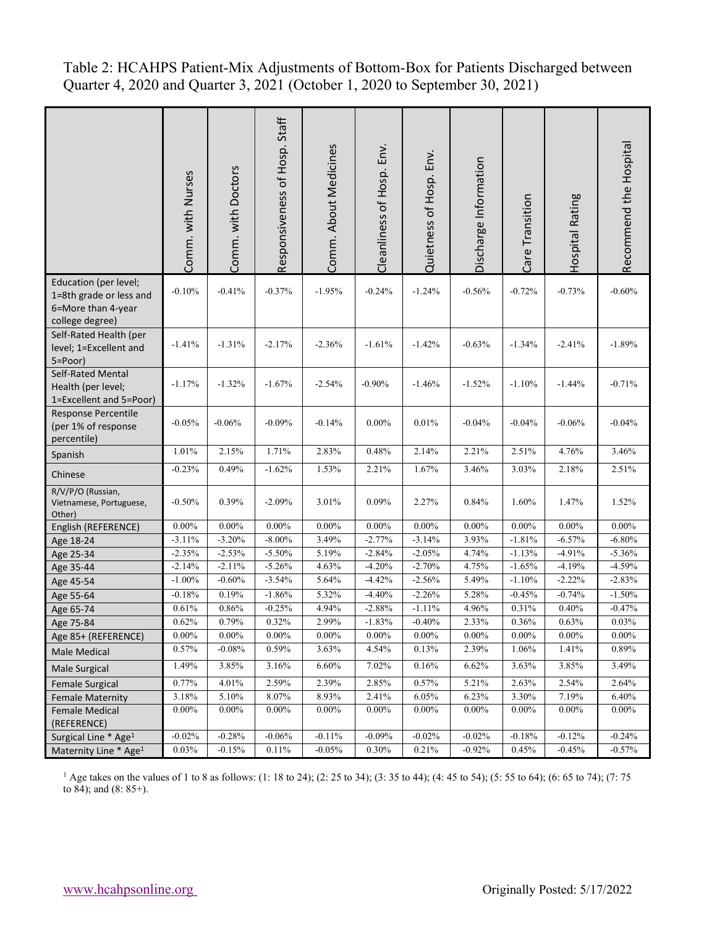Table 2: HCAHPS Patient-Mix Adjustments of Bottom-Box for Patients Discharged between Quarter 4, 2020 and Quarter 3, 2021 (October 1, 2020 to September 30, 2021)

|                                                                                           | Comm. with Nurses | Comm. with Doctors | Responsiveness of Hosp. Staff | Comm. About Medicines | Env.<br>Cleanliness of Hosp. | Env.<br>Quietness of Hosp. | Discharge Information | Care Transition | Hospital Rating | Recommend the Hospital |
|-------------------------------------------------------------------------------------------|-------------------|--------------------|-------------------------------|-----------------------|------------------------------|----------------------------|-----------------------|-----------------|-----------------|------------------------|
| Education (per level;<br>1=8th grade or less and<br>6=More than 4-year<br>college degree) | $-0.10%$          | $-0.41%$           | $-0.37%$                      | $-1.95%$              | $-0.24%$                     | $-1.24%$                   | $-0.56%$              | $-0.72%$        | $-0.73%$        | $-0.60%$               |
| Self-Rated Health (per<br>level; 1=Excellent and<br>5=Poor)                               | $-1.41%$          | $-1.31%$           | $-2.17%$                      | $-2.36%$              | $-1.61%$                     | $-1.42%$                   | $-0.63%$              | $-1.34%$        | $-2.41%$        | $-1.89%$               |
| Self-Rated Mental<br>Health (per level;<br>1=Excellent and 5=Poor)                        | $-1.17%$          | $-1.32%$           | $-1.67%$                      | $-2.54%$              | $-0.90%$                     | $-1.46%$                   | $-1.52%$              | $-1.10%$        | $-1.44%$        | $-0.71%$               |
| Response Percentile<br>(per 1% of response<br>percentile)                                 | $-0.05%$          | $-0.06%$           | $-0.09%$                      | $-0.14%$              | $0.00\%$                     | 0.01%                      | $-0.04%$              | $-0.04%$        | $-0.06%$        | $-0.04%$               |
| Spanish                                                                                   | 1.01%             | 2.15%              | 1.71%                         | 2.83%                 | 0.48%                        | 2.14%                      | 2.21%                 | 2.51%           | 4.76%           | 3.46%                  |
| Chinese                                                                                   | $-0.23%$          | 0.49%              | $-1.62%$                      | 1.53%                 | 2.21%                        | 1.67%                      | 3.46%                 | 3.03%           | 2.18%           | 2.51%                  |
| R/V/P/O (Russian,<br>Vietnamese, Portuguese,<br>Other)                                    | $-0.50%$          | 0.39%              | $-2.09%$                      | 3.01%                 | 0.09%                        | 2.27%                      | 0.84%                 | 1.60%           | 1.47%           | 1.52%                  |
| English (REFERENCE)                                                                       | $0.00\%$          | $0.00\%$           | $0.00\%$                      | 0.00%                 | $0.00\%$                     | $0.00\%$                   | 0.00%                 | $0.00\%$        | $0.00\%$        | 0.00%                  |
| Age 18-24                                                                                 | $-3.11%$          | $-3.20%$           | $-8.00\%$                     | 3.49%                 | $-2.77%$                     | $-3.14%$                   | 3.93%                 | $-1.81%$        | $-6.57%$        | $-6.80%$               |
| Age 25-34                                                                                 | $-2.35%$          | $-2.53%$           | $-5.50%$                      | 5.19%                 | $-2.84%$                     | $-2.05%$                   | 4.74%                 | $-1.13%$        | $-4.91%$        | $-5.36%$               |
| Age 35-44                                                                                 | $-2.14%$          | $-2.11%$           | $-5.26%$                      | 4.63%                 | $-4.20%$                     | $-2.70%$                   | 4.75%                 | $-1.65%$        | $-4.19%$        | $-4.59%$               |
| Age 45-54                                                                                 | $-1.00\%$         | $-0.60%$           | $-3.54%$                      | 5.64%                 | $-4.42%$                     | $-2.56%$                   | 5.49%                 | $-1.10%$        | $-2.22%$        | $-2.83%$               |
| Age 55-64                                                                                 | $-0.18%$          | 0.19%              | $-1.86%$                      | 5.32%                 | $-4.40%$                     | $-2.26%$                   | 5.28%                 | $-0.45%$        | $-0.74%$        | $-1.50%$               |
| Age 65-74                                                                                 | 0.61%             | $0.86\%$           | $-0.25%$                      | 4.94%                 | $-2.88%$                     | $-1.11%$                   | 4.96%                 | 0.31%           | 0.40%           | $-0.47%$               |
| Age 75-84                                                                                 | 0.62%             | 0.79%              | 0.32%                         | 2.99%                 | $-1.83%$                     | $-0.40%$                   | 2.33%                 | 0.36%           | 0.63%           | 0.03%                  |
| Age 85+ (REFERENCE)                                                                       | $0.00\%$          | $0.00\%$           | $0.00\%$                      | $0.00\%$              | $0.00\%$                     | $0.00\%$                   | $0.00\%$              | $0.00\%$        | $0.00\%$        | $0.00\%$               |
| Male Medical                                                                              | 0.57%             | $-0.08%$           | 0.59%                         | 3.63%                 | 4.54%                        | 0.13%                      | 2.39%                 | 1.06%           | 1.41%           | 0.89%                  |
| Male Surgical                                                                             | 1.49%             | 3.85%              | 3.16%                         | 6.60%                 | 7.02%                        | 0.16%                      | 6.62%                 | 3.63%           | 3.85%           | 3.49%                  |
| Female Surgical                                                                           | $0.77\%$          | $4.01\%$           | 2.59%                         | 2.39%                 | 2.85%                        | $0.57\%$                   | 5.21%                 | 2.63%           | 2.54%           | 2.64%                  |
| <b>Female Maternity</b>                                                                   | $3.18\%$          | $5.10\%$           | $8.07\%$                      | 8.93%                 | 2.41%                        | $6.05\%$                   | 6.23%                 | 3.30%           | 7.19%           | 6.40%                  |
| Female Medical<br>(REFERENCE)                                                             | $0.00\%$          | $0.00\%$           | $0.00\%$                      | $0.00\%$              | $0.00\%$                     | $0.00\%$                   | $0.00\%$              | $0.00\%$        | $0.00\%$        | $0.00\%$               |
| Surgical Line * Age <sup>1</sup>                                                          | $-0.02%$          | $-0.28%$           | $-0.06%$                      | $-0.11%$              | $-0.09%$                     | $-0.02%$                   | $-0.02%$              | $-0.18%$        | $-0.12%$        | $-0.24%$               |
| Maternity Line * Age <sup>1</sup>                                                         | 0.03%             | $-0.15%$           | 0.11%                         | $-0.05%$              | 0.30%                        | 0.21%                      | $-0.92%$              | 0.45%           | $-0.45%$        | $-0.57%$               |

<sup>1</sup> Age takes on the values of 1 to 8 as follows: (1: 18 to 24); (2: 25 to 34); (3: 35 to 44); (4: 45 to 54); (5: 55 to 64); (6: 65 to 74); (7: 75 to 84); and (8: 85+).